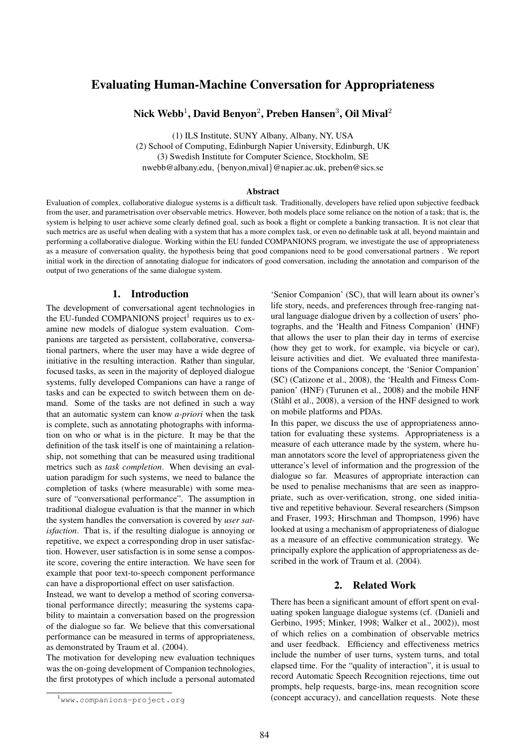# Evaluating Human-Machine Conversation for Appropriateness

Nick Webb $^1$ , David Benyon $^2$ , Preben Hansen $^3$ , Oil Mival $^2$ 

(1) ILS Institute, SUNY Albany, Albany, NY, USA (2) School of Computing, Edinburgh Napier University, Edinburgh, UK (3) Swedish Institute for Computer Science, Stockholm, SE nwebb@albany.edu, {benyon,mival}@napier.ac.uk, preben@sics.se

#### Abstract

Evaluation of complex, collaborative dialogue systems is a difficult task. Traditionally, developers have relied upon subjective feedback from the user, and parametrisation over observable metrics. However, both models place some reliance on the notion of a task; that is, the system is helping to user achieve some clearly defined goal, such as book a flight or complete a banking transaction. It is not clear that such metrics are as useful when dealing with a system that has a more complex task, or even no definable task at all, beyond maintain and performing a collaborative dialogue. Working within the EU funded COMPANIONS program, we investigate the use of appropriateness as a measure of conversation quality, the hypothesis being that good companions need to be good conversational partners . We report initial work in the direction of annotating dialogue for indicators of good conversation, including the annotation and comparison of the output of two generations of the same dialogue system.

### 1. Introduction

The development of conversational agent technologies in the EU-funded COMPANIONS project<sup>1</sup> requires us to examine new models of dialogue system evaluation. Companions are targeted as persistent, collaborative, conversational partners, where the user may have a wide degree of initiative in the resulting interaction. Rather than singular, focused tasks, as seen in the majority of deployed dialogue systems, fully developed Companions can have a range of tasks and can be expected to switch between them on demand. Some of the tasks are not defined in such a way that an automatic system can know *a-priori* when the task is complete, such as annotating photographs with information on who or what is in the picture. It may be that the definition of the task itself is one of maintaining a relationship, not something that can be measured using traditional metrics such as *task completion*. When devising an evaluation paradigm for such systems, we need to balance the completion of tasks (where measurable) with some measure of "conversational performance". The assumption in traditional dialogue evaluation is that the manner in which the system handles the conversation is covered by *user satisfaction*. That is, if the resulting dialogue is annoying or repetitive, we expect a corresponding drop in user satisfaction. However, user satisfaction is in some sense a composite score, covering the entire interaction. We have seen for example that poor text-to-speech component performance can have a disproportional effect on user satisfaction.

Instead, we want to develop a method of scoring conversational performance directly; measuring the systems capability to maintain a conversation based on the progression of the dialogue so far. We believe that this conversational performance can be measured in terms of appropriateness, as demonstrated by Traum et al. (2004).

The motivation for developing new evaluation techniques was the on-going development of Companion technologies, the first prototypes of which include a personal automated

'Senior Companion' (SC), that will learn about its owner's life story, needs, and preferences through free-ranging natural language dialogue driven by a collection of users' photographs, and the 'Health and Fitness Companion' (HNF) that allows the user to plan their day in terms of exercise (how they get to work, for example, via bicycle or car), leisure activities and diet. We evaluated three manifestations of the Companions concept, the 'Senior Companion' (SC) (Catizone et al., 2008), the 'Health and Fitness Companion' (HNF) (Turunen et al., 2008) and the mobile HNF (Ståhl et al.,  $2008$ ), a version of the HNF designed to work on mobile platforms and PDAs.

In this paper, we discuss the use of appropriateness annotation for evaluating these systems. Appropriateness is a measure of each utterance made by the system, where human annotators score the level of appropriateness given the utterance's level of information and the progression of the dialogue so far. Measures of appropriate interaction can be used to penalise mechanisms that are seen as inappropriate, such as over-verification, strong, one sided initiative and repetitive behaviour. Several researchers (Simpson and Fraser, 1993; Hirschman and Thompson, 1996) have looked at using a mechanism of appropriateness of dialogue as a measure of an effective communication strategy. We principally explore the application of appropriateness as described in the work of Traum et al. (2004).

## 2. Related Work

There has been a significant amount of effort spent on evaluating spoken language dialogue systems (cf. (Danieli and Gerbino, 1995; Minker, 1998; Walker et al., 2002)), most of which relies on a combination of observable metrics and user feedback. Efficiency and effectiveness metrics include the number of user turns, system turns, and total elapsed time. For the "quality of interaction", it is usual to record Automatic Speech Recognition rejections, time out prompts, help requests, barge-ins, mean recognition score (concept accuracy), and cancellation requests. Note these

<sup>1</sup>www.companions-project.org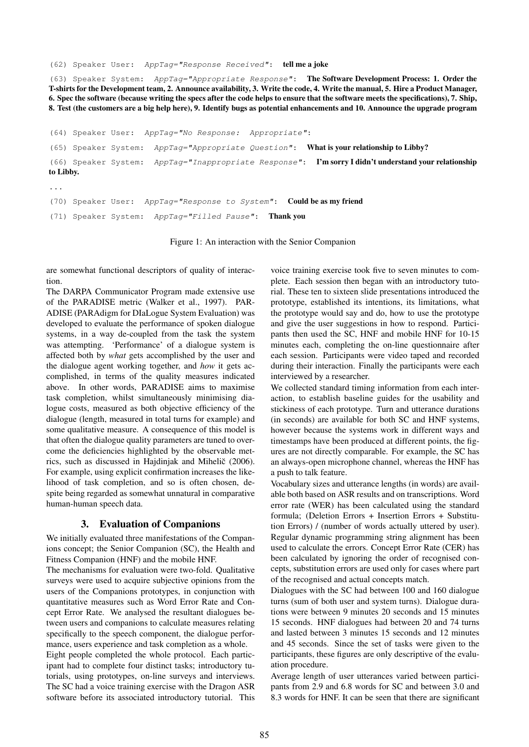(62) Speaker User: AppTag="Response Received": tell me a joke

(63) Speaker System: AppTag="Appropriate Response": The Software Development Process: 1. Order the T-shirts for the Development team, 2. Announce availability, 3. Write the code, 4. Write the manual, 5. Hire a Product Manager, 6. Spec the software (because writing the specs after the code helps to ensure that the software meets the specifications), 7. Ship, 8. Test (the customers are a big help here), 9. Identify bugs as potential enhancements and 10. Announce the upgrade program

(64) Speaker User: AppTag="No Response: Appropriate":

(65) Speaker System: AppTag="Appropriate Question": What is your relationship to Libby?

(66) Speaker System: AppTag="Inappropriate Response": I'm sorry I didn't understand your relationship to Libby.

...

(70) Speaker User: AppTag="Response to System": Could be as my friend

(71) Speaker System: AppTag="Filled Pause": Thank you

Figure 1: An interaction with the Senior Companion

are somewhat functional descriptors of quality of interaction.

The DARPA Communicator Program made extensive use of the PARADISE metric (Walker et al., 1997). PAR-ADISE (PARAdigm for DIaLogue System Evaluation) was developed to evaluate the performance of spoken dialogue systems, in a way de-coupled from the task the system was attempting. 'Performance' of a dialogue system is affected both by *what* gets accomplished by the user and the dialogue agent working together, and *how* it gets accomplished, in terms of the quality measures indicated above. In other words, PARADISE aims to maximise task completion, whilst simultaneously minimising dialogue costs, measured as both objective efficiency of the dialogue (length, measured in total turns for example) and some qualitative measure. A consequence of this model is that often the dialogue quality parameters are tuned to overcome the deficiencies highlighted by the observable metrics, such as discussed in Hajdinjak and Mihelič (2006). For example, using explicit confirmation increases the likelihood of task completion, and so is often chosen, despite being regarded as somewhat unnatural in comparative human-human speech data.

#### 3. Evaluation of Companions

We initially evaluated three manifestations of the Companions concept; the Senior Companion (SC), the Health and Fitness Companion (HNF) and the mobile HNF.

The mechanisms for evaluation were two-fold. Qualitative surveys were used to acquire subjective opinions from the users of the Companions prototypes, in conjunction with quantitative measures such as Word Error Rate and Concept Error Rate. We analysed the resultant dialogues between users and companions to calculate measures relating specifically to the speech component, the dialogue performance, users experience and task completion as a whole. Eight people completed the whole protocol. Each partic-

ipant had to complete four distinct tasks; introductory tutorials, using prototypes, on-line surveys and interviews. The SC had a voice training exercise with the Dragon ASR software before its associated introductory tutorial. This voice training exercise took five to seven minutes to complete. Each session then began with an introductory tutorial. These ten to sixteen slide presentations introduced the prototype, established its intentions, its limitations, what the prototype would say and do, how to use the prototype and give the user suggestions in how to respond. Participants then used the SC, HNF and mobile HNF for 10-15 minutes each, completing the on-line questionnaire after each session. Participants were video taped and recorded during their interaction. Finally the participants were each interviewed by a researcher.

We collected standard timing information from each interaction, to establish baseline guides for the usability and stickiness of each prototype. Turn and utterance durations (in seconds) are available for both SC and HNF systems, however because the systems work in different ways and timestamps have been produced at different points, the figures are not directly comparable. For example, the SC has an always-open microphone channel, whereas the HNF has a push to talk feature.

Vocabulary sizes and utterance lengths (in words) are available both based on ASR results and on transcriptions. Word error rate (WER) has been calculated using the standard formula; (Deletion Errors + Insertion Errors + Substitution Errors) / (number of words actually uttered by user). Regular dynamic programming string alignment has been used to calculate the errors. Concept Error Rate (CER) has been calculated by ignoring the order of recognised concepts, substitution errors are used only for cases where part of the recognised and actual concepts match.

Dialogues with the SC had between 100 and 160 dialogue turns (sum of both user and system turns). Dialogue durations were between 9 minutes 20 seconds and 15 minutes 15 seconds. HNF dialogues had between 20 and 74 turns and lasted between 3 minutes 15 seconds and 12 minutes and 45 seconds. Since the set of tasks were given to the participants, these figures are only descriptive of the evaluation procedure.

Average length of user utterances varied between participants from 2.9 and 6.8 words for SC and between 3.0 and 8.3 words for HNF. It can be seen that there are significant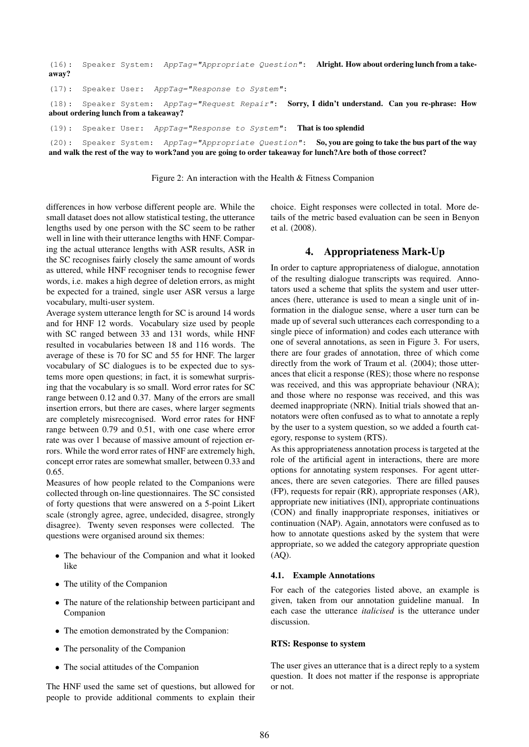| $(16)$ :<br>away? |                                       | Speaker System: AppTag="Appropriate Question": Alright. How about ordering lunch from a take-     |  |  |
|-------------------|---------------------------------------|---------------------------------------------------------------------------------------------------|--|--|
|                   |                                       | $(17):$ Speaker User: AppTag="Response to System":                                                |  |  |
|                   | about ordering lunch from a takeaway? | (18): Speaker System: AppTag="Request Repair": Sorry, I didn't understand. Can you re-phrase: How |  |  |
|                   |                                       | $(19)$ : Speaker User: AppTag="Response to System": That is too splendid                          |  |  |
|                   |                                       |                                                                                                   |  |  |

(20): Speaker System: AppTag="Appropriate Question": So, you are going to take the bus part of the way and walk the rest of the way to work?and you are going to order takeaway for lunch?Are both of those correct?

Figure 2: An interaction with the Health & Fitness Companion

differences in how verbose different people are. While the small dataset does not allow statistical testing, the utterance lengths used by one person with the SC seem to be rather well in line with their utterance lengths with HNF. Comparing the actual utterance lengths with ASR results, ASR in the SC recognises fairly closely the same amount of words as uttered, while HNF recogniser tends to recognise fewer words, i.e. makes a high degree of deletion errors, as might be expected for a trained, single user ASR versus a large vocabulary, multi-user system.

Average system utterance length for SC is around 14 words and for HNF 12 words. Vocabulary size used by people with SC ranged between 33 and 131 words, while HNF resulted in vocabularies between 18 and 116 words. The average of these is 70 for SC and 55 for HNF. The larger vocabulary of SC dialogues is to be expected due to systems more open questions; in fact, it is somewhat surprising that the vocabulary is so small. Word error rates for SC range between 0.12 and 0.37. Many of the errors are small insertion errors, but there are cases, where larger segments are completely misrecognised. Word error rates for HNF range between 0.79 and 0.51, with one case where error rate was over 1 because of massive amount of rejection errors. While the word error rates of HNF are extremely high, concept error rates are somewhat smaller, between 0.33 and 0.65.

Measures of how people related to the Companions were collected through on-line questionnaires. The SC consisted of forty questions that were answered on a 5-point Likert scale (strongly agree, agree, undecided, disagree, strongly disagree). Twenty seven responses were collected. The questions were organised around six themes:

- The behaviour of the Companion and what it looked like
- The utility of the Companion
- The nature of the relationship between participant and Companion
- The emotion demonstrated by the Companion:
- The personality of the Companion
- The social attitudes of the Companion

The HNF used the same set of questions, but allowed for people to provide additional comments to explain their choice. Eight responses were collected in total. More details of the metric based evaluation can be seen in Benyon et al. (2008).

## 4. Appropriateness Mark-Up

In order to capture appropriateness of dialogue, annotation of the resulting dialogue transcripts was required. Annotators used a scheme that splits the system and user utterances (here, utterance is used to mean a single unit of information in the dialogue sense, where a user turn can be made up of several such utterances each corresponding to a single piece of information) and codes each utterance with one of several annotations, as seen in Figure 3. For users, there are four grades of annotation, three of which come directly from the work of Traum et al. (2004); those utterances that elicit a response (RES); those where no response was received, and this was appropriate behaviour (NRA); and those where no response was received, and this was deemed inappropriate (NRN). Initial trials showed that annotators were often confused as to what to annotate a reply by the user to a system question, so we added a fourth category, response to system (RTS).

As this appropriateness annotation process is targeted at the role of the artificial agent in interactions, there are more options for annotating system responses. For agent utterances, there are seven categories. There are filled pauses (FP), requests for repair (RR), appropriate responses (AR), appropriate new initiatives (INI), appropriate continuations (CON) and finally inappropriate responses, initiatives or continuation (NAP). Again, annotators were confused as to how to annotate questions asked by the system that were appropriate, so we added the category appropriate question (AQ).

#### 4.1. Example Annotations

For each of the categories listed above, an example is given, taken from our annotation guideline manual. In each case the utterance *italicised* is the utterance under discussion.

#### RTS: Response to system

The user gives an utterance that is a direct reply to a system question. It does not matter if the response is appropriate or not.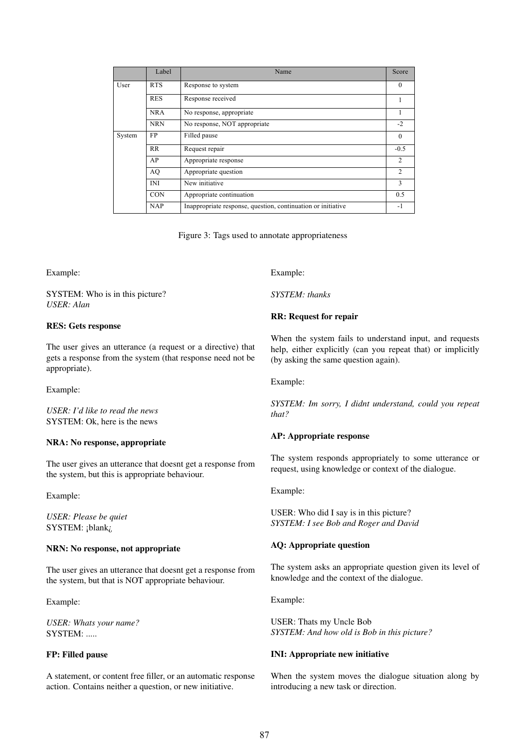|        | Label      | Name                                                         | Score          |
|--------|------------|--------------------------------------------------------------|----------------|
| User   | <b>RTS</b> | Response to system                                           | $\theta$       |
|        | <b>RES</b> | Response received                                            |                |
|        | <b>NRA</b> | No response, appropriate                                     | H.             |
|        | <b>NRN</b> | No response, NOT appropriate                                 | $-2$           |
| System | FP         | Filled pause                                                 | $\theta$       |
|        | <b>RR</b>  | Request repair                                               | $-0.5$         |
|        | AP         | Appropriate response                                         | $\overline{2}$ |
|        | AQ         | Appropriate question                                         | $\overline{2}$ |
|        | <b>INI</b> | New initiative                                               | 3              |
|        | <b>CON</b> | Appropriate continuation                                     | 0.5            |
|        | <b>NAP</b> | Inappropriate response, question, continuation or initiative | -1             |

Figure 3: Tags used to annotate appropriateness

Example:

SYSTEM: Who is in this picture? *USER: Alan*

#### RES: Gets response

The user gives an utterance (a request or a directive) that gets a response from the system (that response need not be appropriate).

Example:

*USER: I'd like to read the news* SYSTEM: Ok, here is the news

#### NRA: No response, appropriate

The user gives an utterance that doesnt get a response from the system, but this is appropriate behaviour.

Example:

*USER: Please be quiet* SYSTEM: ¡blank;

## NRN: No response, not appropriate

The user gives an utterance that doesnt get a response from the system, but that is NOT appropriate behaviour.

Example:

*USER: Whats your name?* SYSTEM: .....

### FP: Filled pause

A statement, or content free filler, or an automatic response action. Contains neither a question, or new initiative.

Example:

*SYSTEM: thanks*

### RR: Request for repair

When the system fails to understand input, and requests help, either explicitly (can you repeat that) or implicitly (by asking the same question again).

Example:

*SYSTEM: Im sorry, I didnt understand, could you repeat that?*

#### AP: Appropriate response

The system responds appropriately to some utterance or request, using knowledge or context of the dialogue.

Example:

USER: Who did I say is in this picture? *SYSTEM: I see Bob and Roger and David*

#### AQ: Appropriate question

The system asks an appropriate question given its level of knowledge and the context of the dialogue.

Example:

USER: Thats my Uncle Bob *SYSTEM: And how old is Bob in this picture?*

#### INI: Appropriate new initiative

When the system moves the dialogue situation along by introducing a new task or direction.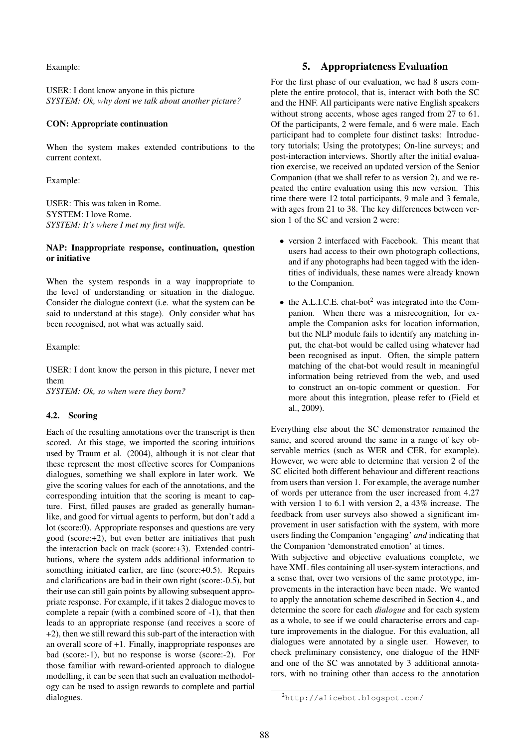Example:

USER: I dont know anyone in this picture *SYSTEM: Ok, why dont we talk about another picture?*

#### CON: Appropriate continuation

When the system makes extended contributions to the current context.

Example:

USER: This was taken in Rome. SYSTEM: I love Rome. *SYSTEM: It's where I met my first wife.*

### NAP: Inappropriate response, continuation, question or initiative

When the system responds in a way inappropriate to the level of understanding or situation in the dialogue. Consider the dialogue context (i.e. what the system can be said to understand at this stage). Only consider what has been recognised, not what was actually said.

Example:

USER: I dont know the person in this picture, I never met them

*SYSTEM: Ok, so when were they born?*

#### 4.2. Scoring

Each of the resulting annotations over the transcript is then scored. At this stage, we imported the scoring intuitions used by Traum et al. (2004), although it is not clear that these represent the most effective scores for Companions dialogues, something we shall explore in later work. We give the scoring values for each of the annotations, and the corresponding intuition that the scoring is meant to capture. First, filled pauses are graded as generally humanlike, and good for virtual agents to perform, but don't add a lot (score:0). Appropriate responses and questions are very good (score:+2), but even better are initiatives that push the interaction back on track (score:+3). Extended contributions, where the system adds additional information to something initiated earlier, are fine (score:+0.5). Repairs and clarifications are bad in their own right (score:-0.5), but their use can still gain points by allowing subsequent appropriate response. For example, if it takes 2 dialogue moves to complete a repair (with a combined score of -1), that then leads to an appropriate response (and receives a score of +2), then we still reward this sub-part of the interaction with an overall score of +1. Finally, inappropriate responses are bad (score:-1), but no response is worse (score:-2). For those familiar with reward-oriented approach to dialogue modelling, it can be seen that such an evaluation methodology can be used to assign rewards to complete and partial dialogues.

### 5. Appropriateness Evaluation

For the first phase of our evaluation, we had 8 users complete the entire protocol, that is, interact with both the SC and the HNF. All participants were native English speakers without strong accents, whose ages ranged from 27 to 61. Of the participants, 2 were female, and 6 were male. Each participant had to complete four distinct tasks: Introductory tutorials; Using the prototypes; On-line surveys; and post-interaction interviews. Shortly after the initial evaluation exercise, we received an updated version of the Senior Companion (that we shall refer to as version 2), and we repeated the entire evaluation using this new version. This time there were 12 total participants, 9 male and 3 female, with ages from 21 to 38. The key differences between version 1 of the SC and version 2 were:

- version 2 interfaced with Facebook. This meant that users had access to their own photograph collections, and if any photographs had been tagged with the identities of individuals, these names were already known to the Companion.
- $\bullet$  the A.L.I.C.E. chat-bot<sup>2</sup> was integrated into the Companion. When there was a misrecognition, for example the Companion asks for location information, but the NLP module fails to identify any matching input, the chat-bot would be called using whatever had been recognised as input. Often, the simple pattern matching of the chat-bot would result in meaningful information being retrieved from the web, and used to construct an on-topic comment or question. For more about this integration, please refer to (Field et al., 2009).

Everything else about the SC demonstrator remained the same, and scored around the same in a range of key observable metrics (such as WER and CER, for example). However, we were able to determine that version 2 of the SC elicited both different behaviour and different reactions from users than version 1. For example, the average number of words per utterance from the user increased from 4.27 with version 1 to 6.1 with version 2, a 43% increase. The feedback from user surveys also showed a significant improvement in user satisfaction with the system, with more users finding the Companion 'engaging' *and* indicating that the Companion 'demonstrated emotion' at times.

With subjective and objective evaluations complete, we have XML files containing all user-system interactions, and a sense that, over two versions of the same prototype, improvements in the interaction have been made. We wanted to apply the annotation scheme described in Section 4., and determine the score for each *dialogue* and for each system as a whole, to see if we could characterise errors and capture improvements in the dialogue. For this evaluation, all dialogues were annotated by a single user. However, to check preliminary consistency, one dialogue of the HNF and one of the SC was annotated by 3 additional annotators, with no training other than access to the annotation

<sup>2</sup>http://alicebot.blogspot.com/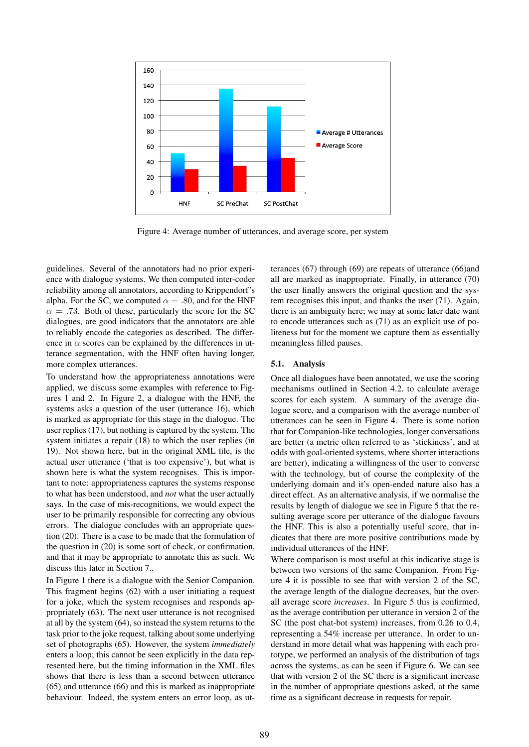

Figure 4: Average number of utterances, and average score, per system

guidelines. Several of the annotators had no prior experience with dialogue systems. We then computed inter-coder reliability among all annotators, according to Krippendorf's alpha. For the SC, we computed  $\alpha = .80$ , and for the HNF  $\alpha = .73$ . Both of these, particularly the score for the SC dialogues, are good indicators that the annotators are able to reliably encode the categories as described. The difference in  $\alpha$  scores can be explained by the differences in utterance segmentation, with the HNF often having longer, more complex utterances.

To understand how the appropriateness annotations were applied, we discuss some examples with reference to Figures 1 and 2. In Figure 2, a dialogue with the HNF, the systems asks a question of the user (utterance 16), which is marked as appropriate for this stage in the dialogue. The user replies (17), but nothing is captured by the system. The system initiates a repair (18) to which the user replies (in 19). Not shown here, but in the original XML file, is the actual user utterance ('that is too expensive'), but what is shown here is what the system recognises. This is important to note: appropriateness captures the systems response to what has been understood, and *not* what the user actually says. In the case of mis-recognitions, we would expect the user to be primarily responsible for correcting any obvious errors. The dialogue concludes with an appropriate question (20). There is a case to be made that the formulation of the question in (20) is some sort of check, or confirmation, and that it may be appropriate to annotate this as such. We discuss this later in Section 7..

In Figure 1 there is a dialogue with the Senior Companion. This fragment begins (62) with a user initiating a request for a joke, which the system recognises and responds appropriately (63). The next user utterance is not recognised at all by the system (64), so instead the system returns to the task prior to the joke request, talking about some underlying set of photographs (65). However, the system *immediately* enters a loop; this cannot be seen explicitly in the data represented here, but the timing information in the XML files shows that there is less than a second between utterance (65) and utterance (66) and this is marked as inappropriate behaviour. Indeed, the system enters an error loop, as utterances (67) through (69) are repeats of utterance (66)and all are marked as inappropriate. Finally, in utterance (70) the user finally answers the original question and the system recognises this input, and thanks the user (71). Again, there is an ambiguity here; we may at some later date want to encode utterances such as (71) as an explicit use of politeness but for the moment we capture them as essentially meaningless filled pauses.

#### 5.1. Analysis

Once all dialogues have been annotated, we use the scoring mechanisms outlined in Section 4.2. to calculate average scores for each system. A summary of the average dialogue score, and a comparison with the average number of utterances can be seen in Figure 4. There is some notion that for Companion-like technologies, longer conversations are better (a metric often referred to as 'stickiness', and at odds with goal-oriented systems, where shorter interactions are better), indicating a willingness of the user to converse with the technology, but of course the complexity of the underlying domain and it's open-ended nature also has a direct effect. As an alternative analysis, if we normalise the results by length of dialogue we see in Figure 5 that the resulting average score per utterance of the dialogue favours the HNF. This is also a potentially useful score, that indicates that there are more positive contributions made by individual utterances of the HNF.

Where comparison is most useful at this indicative stage is between two versions of the same Companion. From Figure 4 it is possible to see that with version 2 of the SC, the average length of the dialogue decreases, but the overall average score *increases*. In Figure 5 this is confirmed, as the average contribution per utterance in version 2 of the SC (the post chat-bot system) increases, from 0.26 to 0.4, representing a 54% increase per utterance. In order to understand in more detail what was happening with each prototype, we performed an analysis of the distribution of tags across the systems, as can be seen if Figure 6. We can see that with version 2 of the SC there is a significant increase in the number of appropriate questions asked, at the same time as a significant decrease in requests for repair.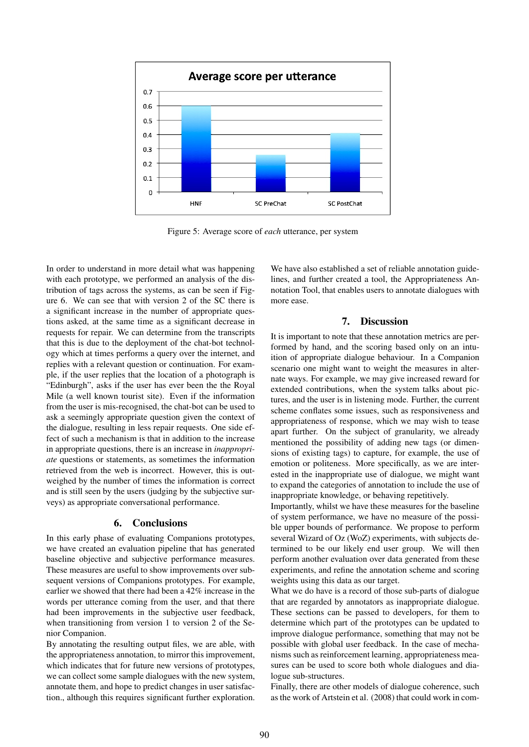

Figure 5: Average score of *each* utterance, per system

In order to understand in more detail what was happening with each prototype, we performed an analysis of the distribution of tags across the systems, as can be seen if Figure 6. We can see that with version 2 of the SC there is a significant increase in the number of appropriate questions asked, at the same time as a significant decrease in requests for repair. We can determine from the transcripts that this is due to the deployment of the chat-bot technology which at times performs a query over the internet, and replies with a relevant question or continuation. For example, if the user replies that the location of a photograph is "Edinburgh", asks if the user has ever been the the Royal Mile (a well known tourist site). Even if the information from the user is mis-recognised, the chat-bot can be used to ask a seemingly appropriate question given the context of the dialogue, resulting in less repair requests. One side effect of such a mechanism is that in addition to the increase in appropriate questions, there is an increase in *inappropriate* questions or statements, as sometimes the information retrieved from the web is incorrect. However, this is outweighed by the number of times the information is correct and is still seen by the users (judging by the subjective surveys) as appropriate conversational performance.

### 6. Conclusions

In this early phase of evaluating Companions prototypes, we have created an evaluation pipeline that has generated baseline objective and subjective performance measures. These measures are useful to show improvements over subsequent versions of Companions prototypes. For example, earlier we showed that there had been a 42% increase in the words per utterance coming from the user, and that there had been improvements in the subjective user feedback, when transitioning from version 1 to version 2 of the Senior Companion.

By annotating the resulting output files, we are able, with the appropriateness annotation, to mirror this improvement, which indicates that for future new versions of prototypes, we can collect some sample dialogues with the new system, annotate them, and hope to predict changes in user satisfaction., although this requires significant further exploration.

We have also established a set of reliable annotation guidelines, and further created a tool, the Appropriateness Annotation Tool, that enables users to annotate dialogues with more ease.

#### 7. Discussion

It is important to note that these annotation metrics are performed by hand, and the scoring based only on an intuition of appropriate dialogue behaviour. In a Companion scenario one might want to weight the measures in alternate ways. For example, we may give increased reward for extended contributions, when the system talks about pictures, and the user is in listening mode. Further, the current scheme conflates some issues, such as responsiveness and appropriateness of response, which we may wish to tease apart further. On the subject of granularity, we already mentioned the possibility of adding new tags (or dimensions of existing tags) to capture, for example, the use of emotion or politeness. More specifically, as we are interested in the inappropriate use of dialogue, we might want to expand the categories of annotation to include the use of inappropriate knowledge, or behaving repetitively.

Importantly, whilst we have these measures for the baseline of system performance, we have no measure of the possible upper bounds of performance. We propose to perform several Wizard of Oz (WoZ) experiments, with subjects determined to be our likely end user group. We will then perform another evaluation over data generated from these experiments, and refine the annotation scheme and scoring weights using this data as our target.

What we do have is a record of those sub-parts of dialogue that are regarded by annotators as inappropriate dialogue. These sections can be passed to developers, for them to determine which part of the prototypes can be updated to improve dialogue performance, something that may not be possible with global user feedback. In the case of mechanisms such as reinforcement learning, appropriateness measures can be used to score both whole dialogues and dialogue sub-structures.

Finally, there are other models of dialogue coherence, such as the work of Artstein et al. (2008) that could work in com-